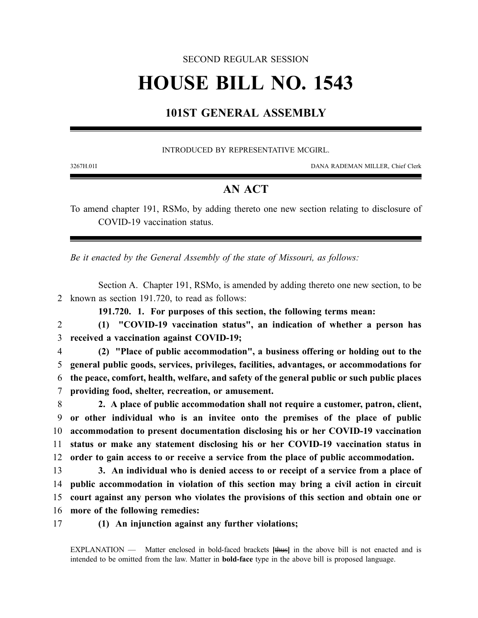### SECOND REGULAR SESSION

# **HOUSE BILL NO. 1543**

# **101ST GENERAL ASSEMBLY**

#### INTRODUCED BY REPRESENTATIVE MCGIRL.

3267H.01I DANA RADEMAN MILLER, Chief Clerk

## **AN ACT**

To amend chapter 191, RSMo, by adding thereto one new section relating to disclosure of COVID-19 vaccination status.

*Be it enacted by the General Assembly of the state of Missouri, as follows:*

Section A. Chapter 191, RSMo, is amended by adding thereto one new section, to be 2 known as section 191.720, to read as follows:

**191.720. 1. For purposes of this section, the following terms mean:**

2 **(1) "COVID-19 vaccination status", an indication of whether a person has** 3 **received a vaccination against COVID-19;**

 **(2) "Place of public accommodation", a business offering or holding out to the general public goods, services, privileges, facilities, advantages, or accommodations for the peace, comfort, health, welfare, and safety of the general public or such public places providing food, shelter, recreation, or amusement.**

 **2. A place of public accommodation shall not require a customer, patron, client, or other individual who is an invitee onto the premises of the place of public accommodation to present documentation disclosing his or her COVID-19 vaccination status or make any statement disclosing his or her COVID-19 vaccination status in order to gain access to or receive a service from the place of public accommodation.**

 **3. An individual who is denied access to or receipt of a service from a place of public accommodation in violation of this section may bring a civil action in circuit court against any person who violates the provisions of this section and obtain one or more of the following remedies:**

17 **(1) An injunction against any further violations;**

EXPLANATION — Matter enclosed in bold-faced brackets **[**thus**]** in the above bill is not enacted and is intended to be omitted from the law. Matter in **bold-face** type in the above bill is proposed language.